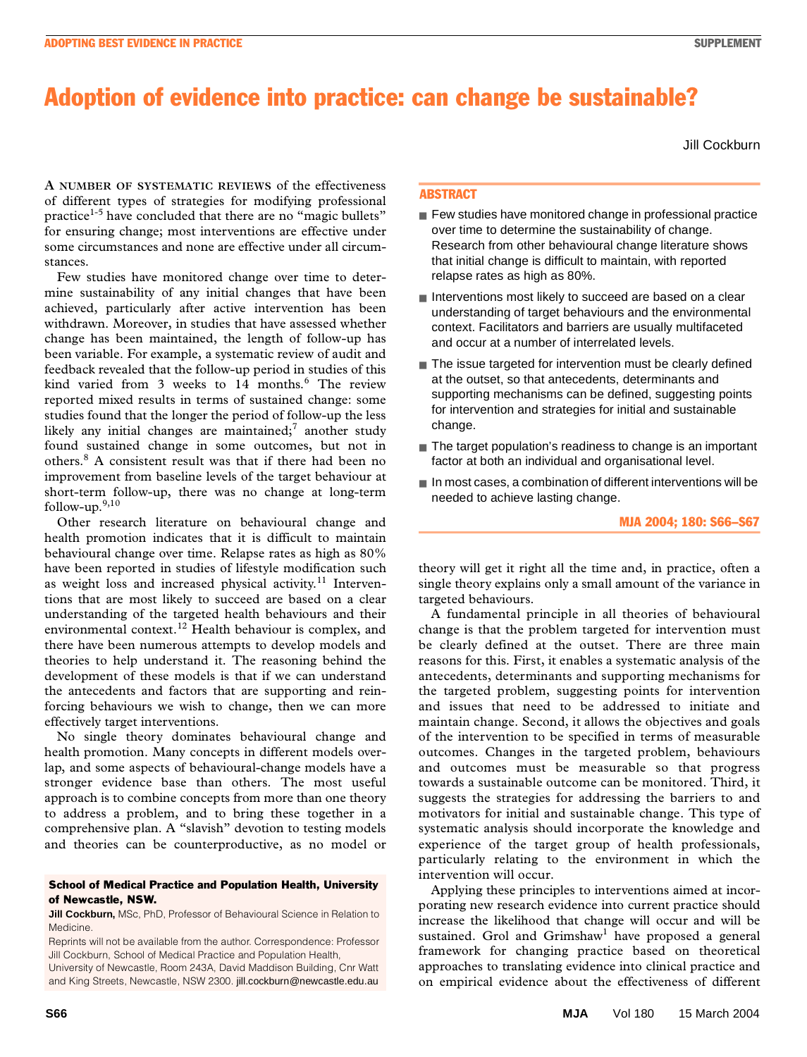# Adoption of evidence into practice: can change be sustainable?

Jill Cockburn

 $T$ es. **A NUMBER OF SYSTEMATIC REVIEWS** of the effectiveness of different types of strategies for modifying professional practice<sup>1-5</sup> have concluded that there are no "magic bullets" for ensuring change; most interventions are effective under some circumstances and none are effective under all circumstances.

Few studies have monitored change over time to determine sustainability of any initial changes that have been achieved, particularly after active intervention has been withdrawn. Moreover, in studies that have assessed whether change has been maintained, the length of follow-up has been variable. For example, a systematic review of audit and feedback revealed that the follow-up period in studies of this kind varied from 3 weeks to 14 months.<sup>6</sup> The review reported mixed results in terms of sustained change: some studies found that the longer the period of follow-up the less likely any initial changes are maintained; $^7$  another study found sustained change in some outcomes, but not in others.8 A consistent result was that if there had been no improvement from baseline levels of the target behaviour at short-term follow-up, there was no change at long-term follow-up.<sup>9,10</sup>

Other research literature on behavioural change and health promotion indicates that it is difficult to maintain behavioural change over time. Relapse rates as high as 80% have been reported in studies of lifestyle modification such as weight loss and increased physical activity.<sup>11</sup> Interventions that are most likely to succeed are based on a clear understanding of the targeted health behaviours and their environmental context.12 Health behaviour is complex, and there have been numerous attempts to develop models and theories to help understand it. The reasoning behind the development of these models is that if we can understand the antecedents and factors that are supporting and reinforcing behaviours we wish to change, then we can more effectively target interventions.

No single theory dominates behavioural change and health promotion. Many concepts in different models overlap, and some aspects of behavioural-change models have a stronger evidence base than others. The most useful approach is to combine concepts from more than one theory to address a problem, and to bring these together in a comprehensive plan. A "slavish" devotion to testing models and theories can be counterproductive, as no model or

#### School of Medical Practice and Population Health, University of Newcastle, NSW.

**Jill Cockburn, MSc, PhD, Professor of Behavioural Science in Relation to** Medicine.

University of Newcastle, Room 243A, David Maddison Building, Cnr Watt and King Streets, Newcastle, NSW 2300. jill.cockburn@newcastle.edu.au

# ABSTRACT

- Few studies have monitored change in professional practice over time to determine the sustainability of change. Research from other behavioural change literature shows that initial change is difficult to maintain, with reported relapse rates as high as 80%.
- Interventions most likely to succeed are based on a clear understanding of target behaviours and the environmental context. Facilitators and barriers are usually multifaceted and occur at a number of interrelated levels.
- The issue targeted for intervention must be clearly defined at the outset, so that antecedents, determinants and supporting mechanisms can be defined, suggesting points for intervention and strategies for initial and sustainable change.
- The target population's readiness to change is an important factor at both an individual and organisational level.
- In most cases, a combination of different interventions will be needed to achieve lasting change.

## MJA 2004; 180: S66–S67

theory will get it right all the time and, in practice, often a single theory explains only a small amount of the variance in targeted behaviours.

A fundamental principle in all theories of behavioural change is that the problem targeted for intervention must be clearly defined at the outset. There are three main reasons for this. First, it enables a systematic analysis of the antecedents, determinants and supporting mechanisms for the targeted problem, suggesting points for intervention and issues that need to be addressed to initiate and maintain change. Second, it allows the objectives and goals of the intervention to be specified in terms of measurable outcomes. Changes in the targeted problem, behaviours and outcomes must be measurable so that progress towards a sustainable outcome can be monitored. Third, it suggests the strategies for addressing the barriers to and motivators for initial and sustainable change. This type of systematic analysis should incorporate the knowledge and experience of the target group of health professionals, particularly relating to the environment in which the intervention will occur.

Applying these principles to interventions aimed at incorporating new research evidence into current practice should increase the likelihood that change will occur and will be sustained. Grol and Grimshaw<sup>1</sup> have proposed a general framework for changing practice based on theoretical approaches to translating evidence into clinical practice and on empirical evidence about the effectiveness of different

Reprints will not be available from the author. Correspondence: Professor Jill Cockburn, School of Medical Practice and Population Health,